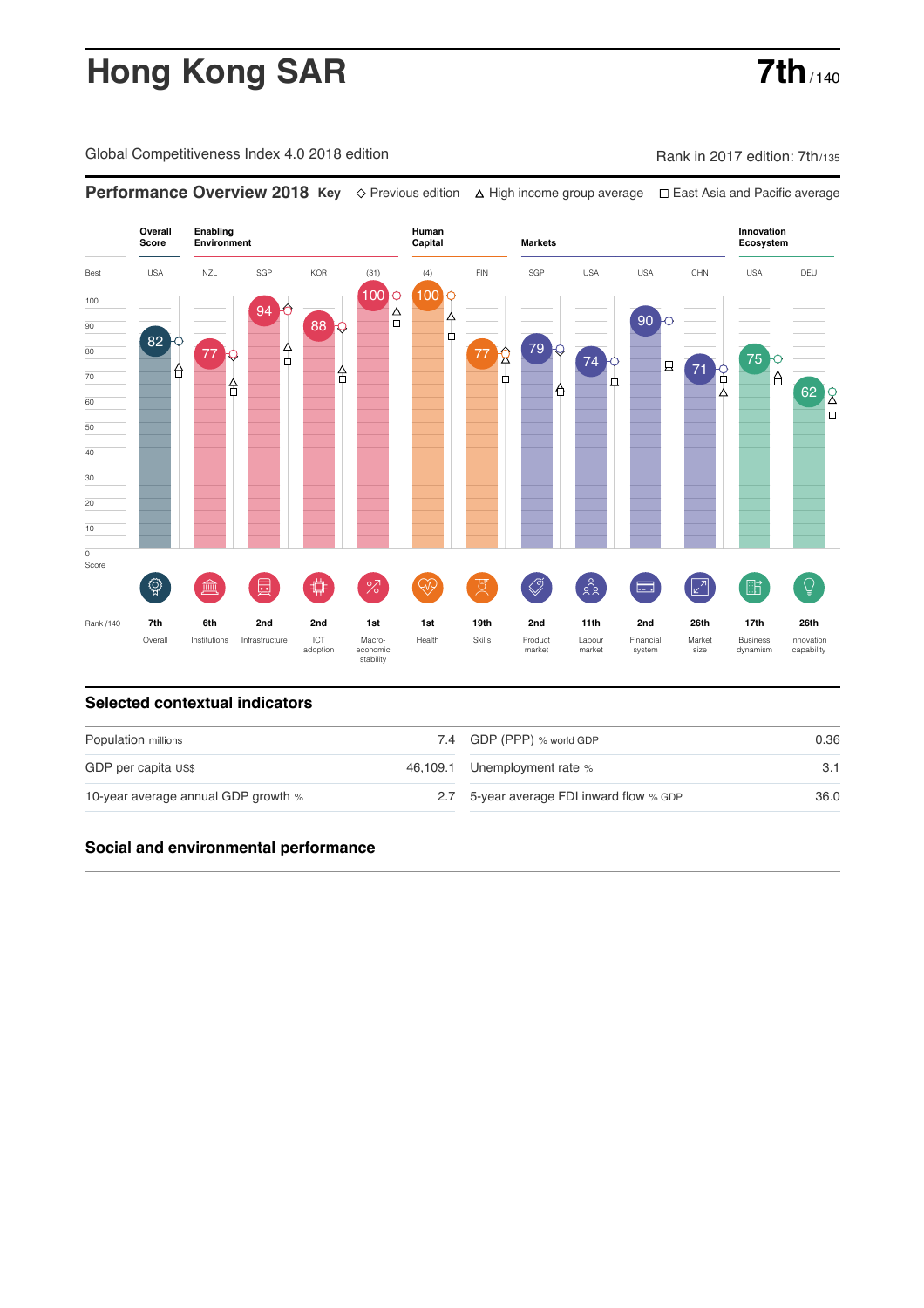# **Hong Kong SAR 7th**

Global Competitiveness Index 4.0 2018 edition Company Rank in 2017 edition: 7th/135

**Performance Overview 2018 Key** Previous edition High income group average East Asia and Pacific average



#### **Selected contextual indicators**

| Population millions                 | 7.4 GDP (PPP) % world GDP                | 0.36 |  |
|-------------------------------------|------------------------------------------|------|--|
| GDP per capita US\$                 | 46,109.1 Unemployment rate %             | 3.1  |  |
| 10-year average annual GDP growth % | 2.7 5-year average FDI inward flow % GDP | 36.0 |  |

### **Social and environmental performance**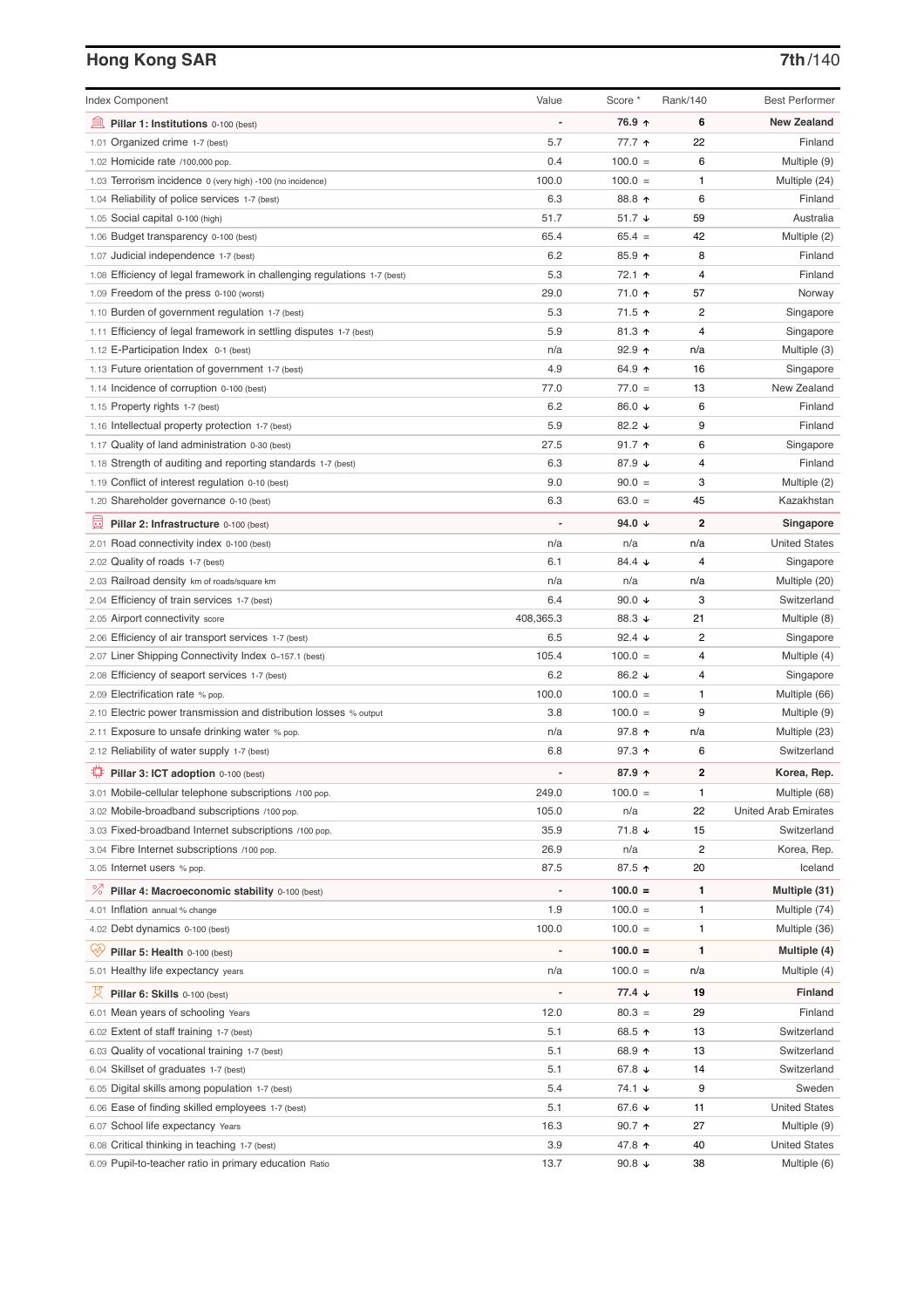## **Hong Kong SAR 7th**/140

| <b>Index Component</b>                                                   | Value                    | Score *              | Rank/140       | <b>Best Performer</b>       |
|--------------------------------------------------------------------------|--------------------------|----------------------|----------------|-----------------------------|
| Pillar 1: Institutions 0-100 (best)                                      | ÷,                       | 76.9 ↑               | 6              | <b>New Zealand</b>          |
| 1.01 Organized crime 1-7 (best)                                          | 5.7                      | 77.7 ተ               | 22             | Finland                     |
| 1.02 Homicide rate /100,000 pop.                                         | 0.4                      | $100.0 =$            | 6              | Multiple (9)                |
| 1.03 Terrorism incidence 0 (very high) -100 (no incidence)               | 100.0                    | $100.0 =$            | 1              | Multiple (24)               |
| 1.04 Reliability of police services 1-7 (best)                           | 6.3                      | 88.8 个               | 6              | Finland                     |
| 1.05 Social capital 0-100 (high)                                         | 51.7                     | 51.7 ↓               | 59             | Australia                   |
| 1.06 Budget transparency 0-100 (best)                                    | 65.4                     | $65.4 =$             | 42             | Multiple (2)                |
| 1.07 Judicial independence 1-7 (best)                                    | 6.2                      | 85.9 个               | 8              | Finland                     |
| 1.08 Efficiency of legal framework in challenging regulations 1-7 (best) | 5.3                      | 72.1 ↑               | 4              | Finland                     |
| 1.09 Freedom of the press 0-100 (worst)                                  | 29.0                     | 71.0 ↑               | 57             | Norway                      |
| 1.10 Burden of government regulation 1-7 (best)                          | 5.3                      | 71.5 ↑               | $\overline{c}$ | Singapore                   |
| 1.11 Efficiency of legal framework in settling disputes 1-7 (best)       | 5.9                      | 81.3 $\uparrow$      | 4              | Singapore                   |
| 1.12 E-Participation Index 0-1 (best)                                    | n/a                      | $92.9$ 1             | n/a            | Multiple (3)                |
| 1.13 Future orientation of government 1-7 (best)                         | 4.9                      | 64.9 ↑               | 16             | Singapore                   |
| 1.14 Incidence of corruption 0-100 (best)                                | 77.0                     | $77.0 =$             | 13             | New Zealand                 |
| 1.15 Property rights 1-7 (best)                                          | 6.2                      | 86.0 ↓               | 6              | Finland                     |
| 1.16 Intellectual property protection 1-7 (best)                         | 5.9                      | 82.2 $\sqrt{ }$      | 9              | Finland                     |
| 1.17 Quality of land administration 0-30 (best)                          | 27.5                     | 91.7 $\uparrow$      | 6              | Singapore                   |
| 1.18 Strength of auditing and reporting standards 1-7 (best)             | 6.3                      | 87.9 ↓               | 4              | Finland                     |
| 1.19 Conflict of interest regulation 0-10 (best)                         | 9.0                      | $90.0 =$             | 3              | Multiple (2)                |
| 1.20 Shareholder governance 0-10 (best)                                  | 6.3                      | $63.0 =$             | 45             | Kazakhstan                  |
| Pillar 2: Infrastructure 0-100 (best)                                    |                          | 94.0 $\sqrt{ }$      | 2              | Singapore                   |
| 2.01 Road connectivity index 0-100 (best)                                | n/a                      | n/a                  | n/a            | <b>United States</b>        |
| 2.02 Quality of roads 1-7 (best)                                         | 6.1                      | 84.4 $\sqrt{ }$      | 4              | Singapore                   |
| 2.03 Railroad density km of roads/square km                              | n/a                      | n/a                  | n/a            | Multiple (20)               |
| 2.04 Efficiency of train services 1-7 (best)                             | 6.4                      | 90.0 $\sqrt{ }$      | 3              | Switzerland                 |
| 2.05 Airport connectivity score                                          | 408,365.3                | 88.3 ↓               | 21             | Multiple (8)                |
| 2.06 Efficiency of air transport services 1-7 (best)                     | 6.5                      | 92.4 $\sqrt{ }$      | $\overline{c}$ | Singapore                   |
| 2.07 Liner Shipping Connectivity Index 0-157.1 (best)                    | 105.4                    | $100.0 =$            | 4              | Multiple (4)                |
| 2.08 Efficiency of seaport services 1-7 (best)                           | 6.2                      | 86.2 ↓               | 4              | Singapore                   |
| 2.09 Electrification rate % pop.                                         | 100.0                    | $100.0 =$            | 1              | Multiple (66)               |
| 2.10 Electric power transmission and distribution losses % output        | 3.8                      | $100.0 =$            | 9              | Multiple (9)                |
| 2.11 Exposure to unsafe drinking water % pop.                            | n/a                      | 97.8 ↑               | n/a            | Multiple (23)               |
| 2.12 Reliability of water supply 1-7 (best)                              | 6.8                      | 97.3 ↑               | 6              | Switzerland                 |
| Pillar 3: ICT adoption 0-100 (best)                                      | L.                       | 87.9 ↑               | $\mathbf 2$    | Korea, Rep.                 |
| 3.01 Mobile-cellular telephone subscriptions /100 pop.                   | 249.0                    | $100.0 =$            | 1              | Multiple (68)               |
| 3.02 Mobile-broadband subscriptions /100 pop.                            | 105.0                    | n/a                  | 22             | <b>United Arab Emirates</b> |
| 3.03 Fixed-broadband Internet subscriptions /100 pop.                    | 35.9                     | 71.8 ↓               | 15             | Switzerland                 |
| 3.04 Fibre Internet subscriptions /100 pop.                              | 26.9                     | n/a                  | 2              | Korea, Rep.                 |
| 3.05 Internet users % pop.                                               | 87.5                     | 87.5 ↑               | 20             | Iceland                     |
| ℅<br>Pillar 4: Macroeconomic stability 0-100 (best)                      | $\overline{\phantom{a}}$ | $100.0 =$            | 1              | Multiple (31)               |
| 4.01 Inflation annual % change                                           | 1.9                      | $100.0 =$            | 1              | Multiple (74)               |
| 4.02 Debt dynamics 0-100 (best)                                          | 100.0                    | $100.0 =$            | 1              | Multiple (36)               |
|                                                                          |                          |                      |                |                             |
| Ųу.<br>Pillar 5: Health 0-100 (best)                                     | Ĭ.                       | $100.0 =$            | 1              | Multiple (4)                |
| 5.01 Healthy life expectancy years                                       | n/a                      | $100.0 =$            | n/a            | Multiple (4)                |
| 섯<br>Pillar 6: Skills 0-100 (best)                                       | $\overline{\phantom{0}}$ | $77.4 \; \downarrow$ | 19             | Finland                     |
| 6.01 Mean years of schooling Years                                       | 12.0                     | $80.3 =$             | 29             | Finland                     |
| 6.02 Extent of staff training 1-7 (best)                                 | 5.1                      | 68.5 ↑               | 13             | Switzerland                 |
| 6.03 Quality of vocational training 1-7 (best)                           | 5.1                      | 68.9 ↑               | 13             | Switzerland                 |
| 6.04 Skillset of graduates 1-7 (best)                                    | 5.1                      | 67.8 ↓               | 14             | Switzerland                 |
| 6.05 Digital skills among population 1-7 (best)                          | 5.4                      | 74.1 ↓               | 9              | Sweden                      |
| 6.06 Ease of finding skilled employees 1-7 (best)                        | 5.1                      | 67.6 ↓               | 11             | <b>United States</b>        |
| 6.07 School life expectancy Years                                        | 16.3                     | $90.7$ ↑             | 27             | Multiple (9)                |
| 6.08 Critical thinking in teaching 1-7 (best)                            | 3.9                      | 47.8 ↑               | 40             | <b>United States</b>        |
| 6.09 Pupil-to-teacher ratio in primary education Ratio                   | 13.7                     | 90.8 $\sqrt{ }$      | 38             | Multiple (6)                |